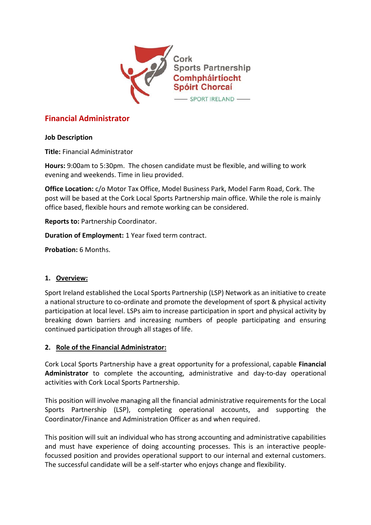

# **Financial Administrator**

#### **Job Description**

**Title:** Financial Administrator

**Hours:** 9:00am to 5:30pm. The chosen candidate must be flexible, and willing to work evening and weekends. Time in lieu provided.

**Office Location:** c/o Motor Tax Office, Model Business Park, Model Farm Road, Cork. The post will be based at the Cork Local Sports Partnership main office. While the role is mainly office based, flexible hours and remote working can be considered.

**Reports to:** Partnership Coordinator.

**Duration of Employment:** 1 Year fixed term contract.

**Probation:** 6 Months.

## **1. Overview:**

Sport Ireland established the Local Sports Partnership (LSP) Network as an initiative to create a national structure to co-ordinate and promote the development of sport & physical activity participation at local level. LSPs aim to increase participation in sport and physical activity by breaking down barriers and increasing numbers of people participating and ensuring continued participation through all stages of life.

#### **2. Role of the Financial Administrator:**

Cork Local Sports Partnership have a great opportunity for a professional, capable **Financial Administrator** to complete the accounting, administrative and day-to-day operational activities with Cork Local Sports Partnership.

This position will involve managing all the financial administrative requirements for the Local Sports Partnership (LSP), completing operational accounts, and supporting the Coordinator/Finance and Administration Officer as and when required.

This position will suit an individual who has strong accounting and administrative capabilities and must have experience of doing accounting processes. This is an interactive peoplefocussed position and provides operational support to our internal and external customers. The successful candidate will be a self-starter who enjoys change and flexibility.